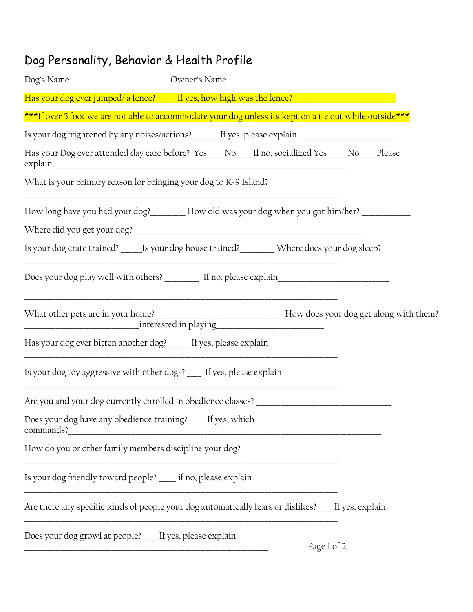## Dog Personality, Behavior & Health Profile

|                                                                          | ***If over 5 foot we are not able to accommodate your dog unless its kept on a tie out while outside*** |  |
|--------------------------------------------------------------------------|---------------------------------------------------------------------------------------------------------|--|
|                                                                          | Is your dog frightened by any noises/actions? _____ If yes, please explain ________________________     |  |
|                                                                          | Has your Dog ever attended day care before? Yes___No__If no, socialized Yes___No__Please                |  |
| What is your primary reason for bringing your dog to K-9 Island?         |                                                                                                         |  |
|                                                                          | How long have you had your dog? ________ How old was your dog when you got him/her? ___________         |  |
|                                                                          |                                                                                                         |  |
|                                                                          | Is your dog crate trained? Is your dog house trained? Where does your dog sleep?                        |  |
|                                                                          |                                                                                                         |  |
|                                                                          | What other pets are in your home? ______________________________How does your dog get along with them?  |  |
| Has your dog ever bitten another dog? ____ If yes, please explain        |                                                                                                         |  |
|                                                                          | Is your dog toy aggressive with other dogs? ___ If yes, please explain                                  |  |
|                                                                          | Are you and your dog currently enrolled in obedience classes? ___________________                       |  |
| Does your dog have any obedience training? __ If yes, which<br>commands? |                                                                                                         |  |
| How do you or other family members discipline your dog?                  |                                                                                                         |  |
| Is your dog friendly toward people? ____ if no, please explain           |                                                                                                         |  |
|                                                                          | Are there any specific kinds of people your dog automatically fears or dislikes? __ If yes, explain     |  |
| Does your dog growl at people? __ If yes, please explain                 | Page 1 of 2                                                                                             |  |